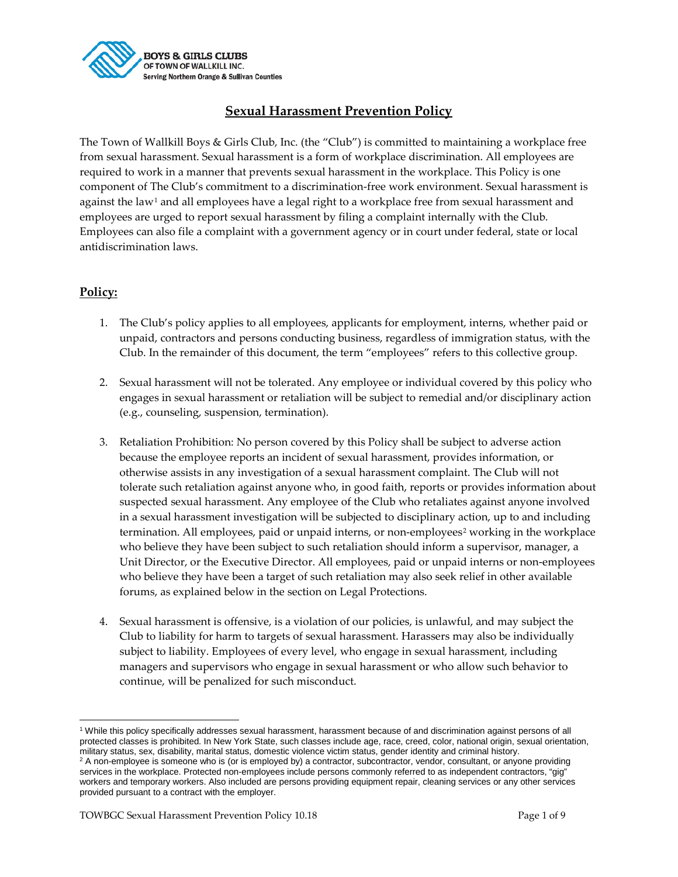

## **Sexual Harassment Prevention Policy**

The Town of Wallkill Boys & Girls Club, Inc. (the "Club") is committed to maintaining a workplace free from sexual harassment. Sexual harassment is a form of workplace discrimination. All employees are required to work in a manner that prevents sexual harassment in the workplace. This Policy is one component of The Club's commitment to a discrimination-free work environment. Sexual harassment is against the law<sup>[1](#page-0-0)</sup> and all employees have a legal right to a workplace free from sexual harassment and employees are urged to report sexual harassment by filing a complaint internally with the Club. Employees can also file a complaint with a government agency or in court under federal, state or local antidiscrimination laws.

### **Policy:**

- 1. The Club's policy applies to all employees, applicants for employment, interns, whether paid or unpaid, contractors and persons conducting business, regardless of immigration status, with the Club. In the remainder of this document, the term "employees" refers to this collective group.
- 2. Sexual harassment will not be tolerated. Any employee or individual covered by this policy who engages in sexual harassment or retaliation will be subject to remedial and/or disciplinary action (e.g., counseling, suspension, termination).
- 3. Retaliation Prohibition: No person covered by this Policy shall be subject to adverse action because the employee reports an incident of sexual harassment, provides information, or otherwise assists in any investigation of a sexual harassment complaint. The Club will not tolerate such retaliation against anyone who, in good faith, reports or provides information about suspected sexual harassment. Any employee of the Club who retaliates against anyone involved in a sexual harassment investigation will be subjected to disciplinary action, up to and including termination. All employees, paid or unpaid interns, or non-employees<sup>[2](#page-0-1)</sup> working in the workplace who believe they have been subject to such retaliation should inform a supervisor, manager, a Unit Director, or the Executive Director. All employees, paid or unpaid interns or non-employees who believe they have been a target of such retaliation may also seek relief in other available forums, as explained below in the section on Legal Protections.
- 4. Sexual harassment is offensive, is a violation of our policies, is unlawful, and may subject the Club to liability for harm to targets of sexual harassment. Harassers may also be individually subject to liability. Employees of every level, who engage in sexual harassment, including managers and supervisors who engage in sexual harassment or who allow such behavior to continue, will be penalized for such misconduct.

<span id="page-0-0"></span><sup>1</sup> While this policy specifically addresses sexual harassment, harassment because of and discrimination against persons of all protected classes is prohibited. In New York State, such classes include age, race, creed, color, national origin, sexual orientation, military status, sex, disability, marital status, domestic violence victim status, gender identity and criminal history.

<span id="page-0-1"></span> $2$  A non-employee is someone who is (or is employed by) a contractor, subcontractor, vendor, consultant, or anyone providing services in the workplace. Protected non-employees include persons commonly referred to as independent contractors, "gig" workers and temporary workers. Also included are persons providing equipment repair, cleaning services or any other services provided pursuant to a contract with the employer.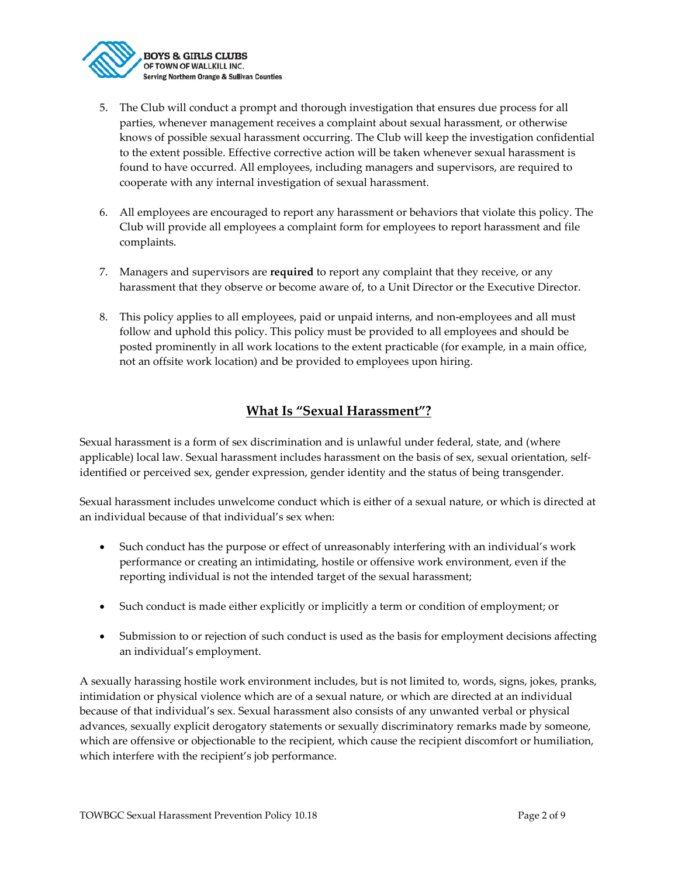

- 5. The Club will conduct a prompt and thorough investigation that ensures due process for all parties, whenever management receives a complaint about sexual harassment, or otherwise knows of possible sexual harassment occurring. The Club will keep the investigation confidential to the extent possible. Effective corrective action will be taken whenever sexual harassment is found to have occurred. All employees, including managers and supervisors, are required to cooperate with any internal investigation of sexual harassment.
- 6. All employees are encouraged to report any harassment or behaviors that violate this policy. The Club will provide all employees a complaint form for employees to report harassment and file complaints.
- 7. Managers and supervisors are **required** to report any complaint that they receive, or any harassment that they observe or become aware of, to a Unit Director or the Executive Director.
- 8. This policy applies to all employees, paid or unpaid interns, and non-employees and all must follow and uphold this policy. This policy must be provided to all employees and should be posted prominently in all work locations to the extent practicable (for example, in a main office, not an offsite work location) and be provided to employees upon hiring.

# **What Is "Sexual Harassment"?**

Sexual harassment is a form of sex discrimination and is unlawful under federal, state, and (where applicable) local law. Sexual harassment includes harassment on the basis of sex, sexual orientation, selfidentified or perceived sex, gender expression, gender identity and the status of being transgender.

Sexual harassment includes unwelcome conduct which is either of a sexual nature, or which is directed at an individual because of that individual's sex when:

- Such conduct has the purpose or effect of unreasonably interfering with an individual's work performance or creating an intimidating, hostile or offensive work environment, even if the reporting individual is not the intended target of the sexual harassment;
- Such conduct is made either explicitly or implicitly a term or condition of employment; or
- Submission to or rejection of such conduct is used as the basis for employment decisions affecting an individual's employment.

A sexually harassing hostile work environment includes, but is not limited to, words, signs, jokes, pranks, intimidation or physical violence which are of a sexual nature, or which are directed at an individual because of that individual's sex. Sexual harassment also consists of any unwanted verbal or physical advances, sexually explicit derogatory statements or sexually discriminatory remarks made by someone, which are offensive or objectionable to the recipient, which cause the recipient discomfort or humiliation, which interfere with the recipient's job performance.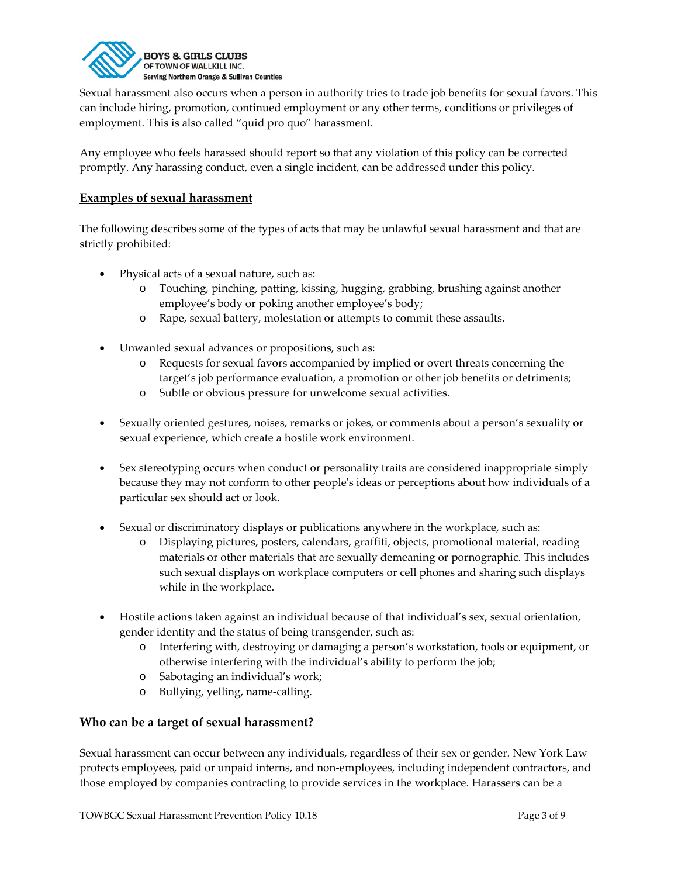

Sexual harassment also occurs when a person in authority tries to trade job benefits for sexual favors. This can include hiring, promotion, continued employment or any other terms, conditions or privileges of employment. This is also called "quid pro quo" harassment.

Any employee who feels harassed should report so that any violation of this policy can be corrected promptly. Any harassing conduct, even a single incident, can be addressed under this policy.

### **Examples of sexual harassment**

The following describes some of the types of acts that may be unlawful sexual harassment and that are strictly prohibited:

- Physical acts of a sexual nature, such as:
	- o Touching, pinching, patting, kissing, hugging, grabbing, brushing against another employee's body or poking another employee's body;
	- o Rape, sexual battery, molestation or attempts to commit these assaults.
- Unwanted sexual advances or propositions, such as:
	- o Requests for sexual favors accompanied by implied or overt threats concerning the target's job performance evaluation, a promotion or other job benefits or detriments;
	- o Subtle or obvious pressure for unwelcome sexual activities.
- Sexually oriented gestures, noises, remarks or jokes, or comments about a person's sexuality or sexual experience, which create a hostile work environment.
- Sex stereotyping occurs when conduct or personality traits are considered inappropriate simply because they may not conform to other people's ideas or perceptions about how individuals of a particular sex should act or look.
- Sexual or discriminatory displays or publications anywhere in the workplace, such as:
	- o Displaying pictures, posters, calendars, graffiti, objects, promotional material, reading materials or other materials that are sexually demeaning or pornographic. This includes such sexual displays on workplace computers or cell phones and sharing such displays while in the workplace.
- Hostile actions taken against an individual because of that individual's sex, sexual orientation, gender identity and the status of being transgender, such as:
	- o Interfering with, destroying or damaging a person's workstation, tools or equipment, or otherwise interfering with the individual's ability to perform the job;
	- o Sabotaging an individual's work;
	- o Bullying, yelling, name-calling.

#### **Who can be a target of sexual harassment?**

Sexual harassment can occur between any individuals, regardless of their sex or gender. New York Law protects employees, paid or unpaid interns, and non-employees, including independent contractors, and those employed by companies contracting to provide services in the workplace. Harassers can be a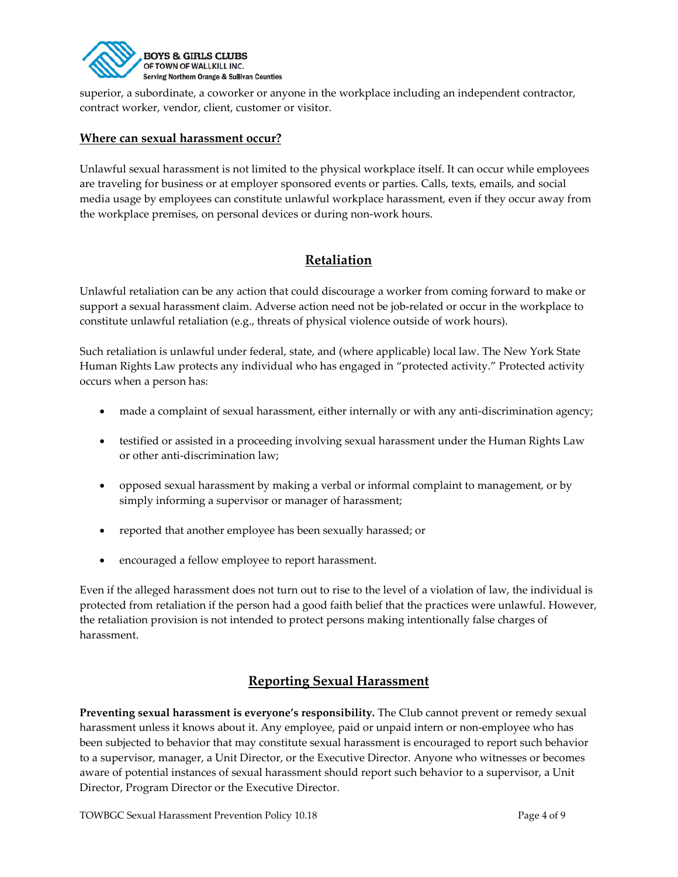

superior, a subordinate, a coworker or anyone in the workplace including an independent contractor, contract worker, vendor, client, customer or visitor.

#### **Where can sexual harassment occur?**

Unlawful sexual harassment is not limited to the physical workplace itself. It can occur while employees are traveling for business or at employer sponsored events or parties. Calls, texts, emails, and social media usage by employees can constitute unlawful workplace harassment, even if they occur away from the workplace premises, on personal devices or during non-work hours.

### **Retaliation**

Unlawful retaliation can be any action that could discourage a worker from coming forward to make or support a sexual harassment claim. Adverse action need not be job-related or occur in the workplace to constitute unlawful retaliation (e.g., threats of physical violence outside of work hours).

Such retaliation is unlawful under federal, state, and (where applicable) local law. The New York State Human Rights Law protects any individual who has engaged in "protected activity." Protected activity occurs when a person has:

- made a complaint of sexual harassment, either internally or with any anti-discrimination agency;
- testified or assisted in a proceeding involving sexual harassment under the Human Rights Law or other anti-discrimination law;
- opposed sexual harassment by making a verbal or informal complaint to management, or by simply informing a supervisor or manager of harassment;
- reported that another employee has been sexually harassed; or
- encouraged a fellow employee to report harassment.

Even if the alleged harassment does not turn out to rise to the level of a violation of law, the individual is protected from retaliation if the person had a good faith belief that the practices were unlawful. However, the retaliation provision is not intended to protect persons making intentionally false charges of harassment.

# **Reporting Sexual Harassment**

**Preventing sexual harassment is everyone's responsibility.** The Club cannot prevent or remedy sexual harassment unless it knows about it. Any employee, paid or unpaid intern or non-employee who has been subjected to behavior that may constitute sexual harassment is encouraged to report such behavior to a supervisor, manager, a Unit Director, or the Executive Director. Anyone who witnesses or becomes aware of potential instances of sexual harassment should report such behavior to a supervisor, a Unit Director, Program Director or the Executive Director.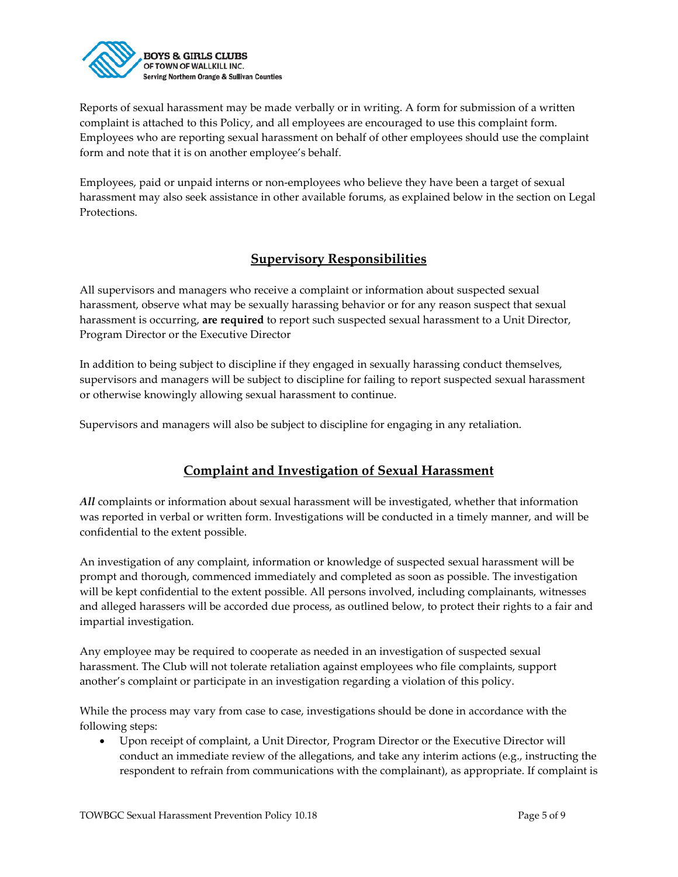

Reports of sexual harassment may be made verbally or in writing. A form for submission of a written complaint is attached to this Policy, and all employees are encouraged to use this complaint form. Employees who are reporting sexual harassment on behalf of other employees should use the complaint form and note that it is on another employee's behalf.

Employees, paid or unpaid interns or non-employees who believe they have been a target of sexual harassment may also seek assistance in other available forums, as explained below in the section on Legal Protections.

# **Supervisory Responsibilities**

All supervisors and managers who receive a complaint or information about suspected sexual harassment, observe what may be sexually harassing behavior or for any reason suspect that sexual harassment is occurring, **are required** to report such suspected sexual harassment to a Unit Director, Program Director or the Executive Director

In addition to being subject to discipline if they engaged in sexually harassing conduct themselves, supervisors and managers will be subject to discipline for failing to report suspected sexual harassment or otherwise knowingly allowing sexual harassment to continue.

Supervisors and managers will also be subject to discipline for engaging in any retaliation.

# **Complaint and Investigation of Sexual Harassment**

*All* complaints or information about sexual harassment will be investigated, whether that information was reported in verbal or written form. Investigations will be conducted in a timely manner, and will be confidential to the extent possible.

An investigation of any complaint, information or knowledge of suspected sexual harassment will be prompt and thorough, commenced immediately and completed as soon as possible. The investigation will be kept confidential to the extent possible. All persons involved, including complainants, witnesses and alleged harassers will be accorded due process, as outlined below, to protect their rights to a fair and impartial investigation.

Any employee may be required to cooperate as needed in an investigation of suspected sexual harassment. The Club will not tolerate retaliation against employees who file complaints, support another's complaint or participate in an investigation regarding a violation of this policy.

While the process may vary from case to case, investigations should be done in accordance with the following steps:

• Upon receipt of complaint, a Unit Director, Program Director or the Executive Director will conduct an immediate review of the allegations, and take any interim actions (e.g., instructing the respondent to refrain from communications with the complainant), as appropriate. If complaint is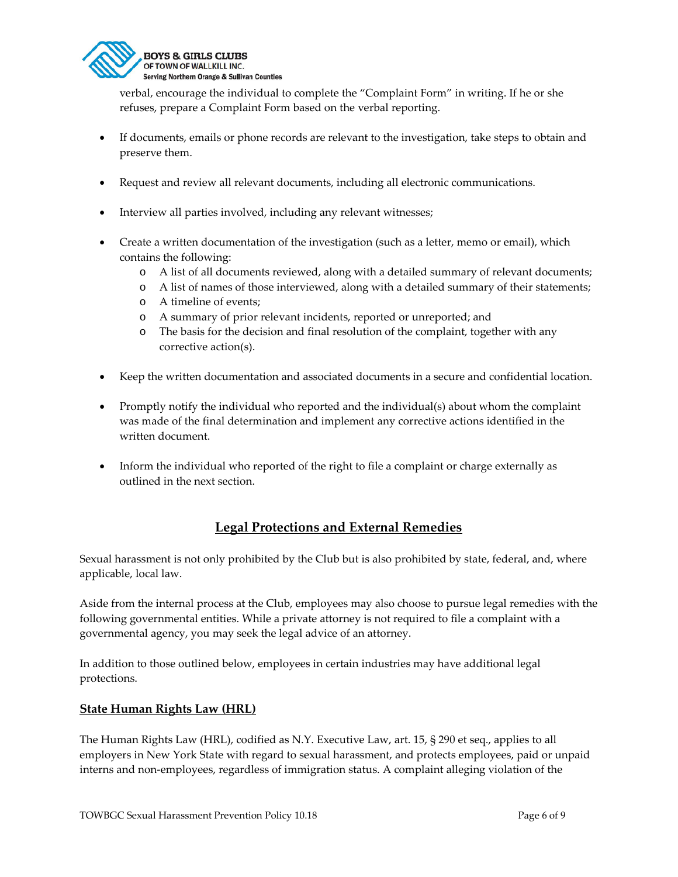

verbal, encourage the individual to complete the "Complaint Form" in writing. If he or she refuses, prepare a Complaint Form based on the verbal reporting.

- If documents, emails or phone records are relevant to the investigation, take steps to obtain and preserve them.
- Request and review all relevant documents, including all electronic communications.
- Interview all parties involved, including any relevant witnesses;
- Create a written documentation of the investigation (such as a letter, memo or email), which contains the following:
	- o A list of all documents reviewed, along with a detailed summary of relevant documents;
	- o A list of names of those interviewed, along with a detailed summary of their statements;
	- o A timeline of events;
	- o A summary of prior relevant incidents, reported or unreported; and
	- o The basis for the decision and final resolution of the complaint, together with any corrective action(s).
- Keep the written documentation and associated documents in a secure and confidential location.
- Promptly notify the individual who reported and the individual(s) about whom the complaint was made of the final determination and implement any corrective actions identified in the written document.
- Inform the individual who reported of the right to file a complaint or charge externally as outlined in the next section.

## **Legal Protections and External Remedies**

Sexual harassment is not only prohibited by the Club but is also prohibited by state, federal, and, where applicable, local law.

Aside from the internal process at the Club, employees may also choose to pursue legal remedies with the following governmental entities. While a private attorney is not required to file a complaint with a governmental agency, you may seek the legal advice of an attorney.

In addition to those outlined below, employees in certain industries may have additional legal protections.

#### **State Human Rights Law (HRL)**

The Human Rights Law (HRL), codified as N.Y. Executive Law, art. 15, § 290 et seq., applies to all employers in New York State with regard to sexual harassment, and protects employees, paid or unpaid interns and non-employees, regardless of immigration status. A complaint alleging violation of the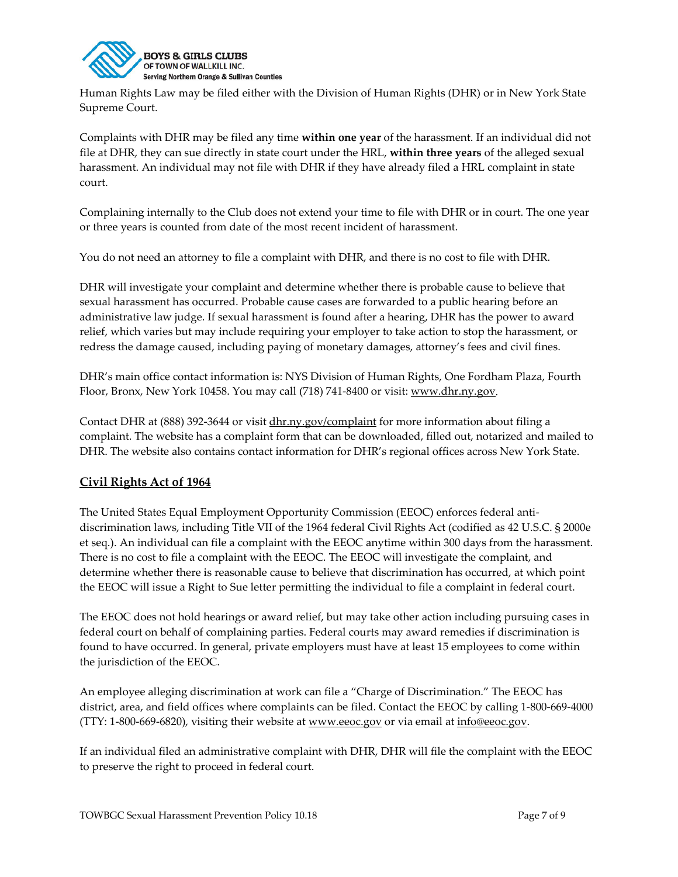

Human Rights Law may be filed either with the Division of Human Rights (DHR) or in New York State Supreme Court.

Complaints with DHR may be filed any time **within one year** of the harassment. If an individual did not file at DHR, they can sue directly in state court under the HRL, **within three years** of the alleged sexual harassment. An individual may not file with DHR if they have already filed a HRL complaint in state court.

Complaining internally to the Club does not extend your time to file with DHR or in court. The one year or three years is counted from date of the most recent incident of harassment.

You do not need an attorney to file a complaint with DHR, and there is no cost to file with DHR.

DHR will investigate your complaint and determine whether there is probable cause to believe that sexual harassment has occurred. Probable cause cases are forwarded to a public hearing before an administrative law judge. If sexual harassment is found after a hearing, DHR has the power to award relief, which varies but may include requiring your employer to take action to stop the harassment, or redress the damage caused, including paying of monetary damages, attorney's fees and civil fines.

DHR's main office contact information is: NYS Division of Human Rights, One Fordham Plaza, Fourth Floor, Bronx, New York 10458. You may call (718) 741-8400 or visit: [www.dhr.ny.gov.](http://www.dhr.ny.gov/)

Contact DHR at (888) 392-3644 or visit [dhr.ny.gov/complaint](https://dhr.ny.gov/complaint) for more information about filing a complaint. The website has a complaint form that can be downloaded, filled out, notarized and mailed to DHR. The website also contains contact information for DHR's regional offices across New York State.

### **Civil Rights Act of 1964**

The United States Equal Employment Opportunity Commission (EEOC) enforces federal antidiscrimination laws, including Title VII of the 1964 federal Civil Rights Act (codified as 42 U.S.C. § 2000e et seq.). An individual can file a complaint with the EEOC anytime within 300 days from the harassment. There is no cost to file a complaint with the EEOC. The EEOC will investigate the complaint, and determine whether there is reasonable cause to believe that discrimination has occurred, at which point the EEOC will issue a Right to Sue letter permitting the individual to file a complaint in federal court.

The EEOC does not hold hearings or award relief, but may take other action including pursuing cases in federal court on behalf of complaining parties. Federal courts may award remedies if discrimination is found to have occurred. In general, private employers must have at least 15 employees to come within the jurisdiction of the EEOC.

An employee alleging discrimination at work can file a "Charge of Discrimination." The EEOC has district, area, and field offices where complaints can be filed. Contact the EEOC by calling 1-800-669-4000 (TTY: 1-800-669-6820), visiting their website a[t www.eeoc.gov](http://www.eeoc.gov/) or via email at [info@eeoc.gov.](mailto:info@eeoc.gov)

If an individual filed an administrative complaint with DHR, DHR will file the complaint with the EEOC to preserve the right to proceed in federal court.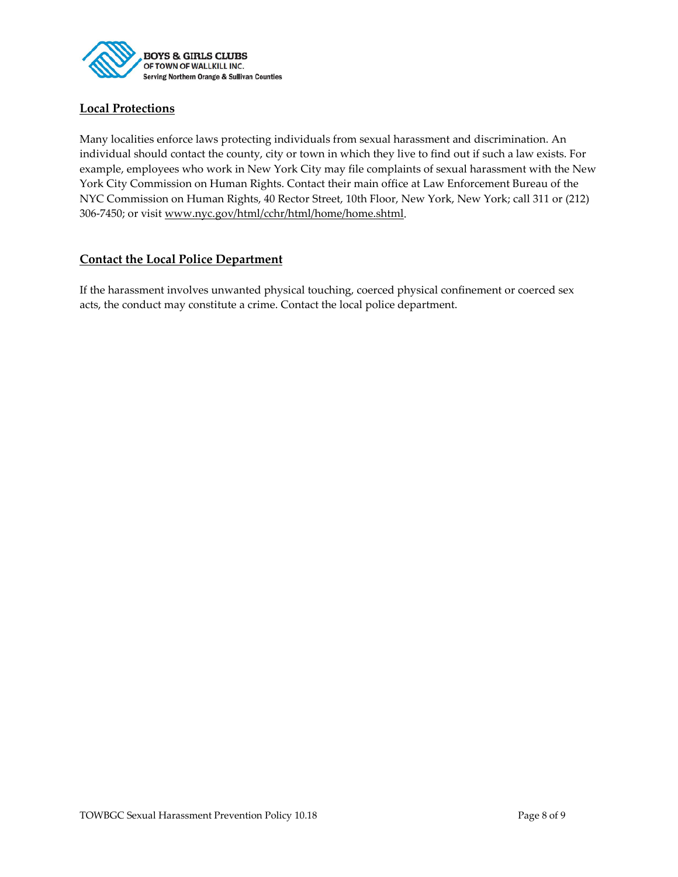

### **Local Protections**

Many localities enforce laws protecting individuals from sexual harassment and discrimination. An individual should contact the county, city or town in which they live to find out if such a law exists. For example, employees who work in New York City may file complaints of sexual harassment with the New York City Commission on Human Rights. Contact their main office at Law Enforcement Bureau of the NYC Commission on Human Rights, 40 Rector Street, 10th Floor, New York, New York; call 311 or (212) 306-7450; or visi[t www.nyc.gov/html/cchr/html/home/home.shtml.](http://www.nyc.gov/html/cchr/html/home/home.shtml)

### **Contact the Local Police Department**

If the harassment involves unwanted physical touching, coerced physical confinement or coerced sex acts, the conduct may constitute a crime. Contact the local police department.